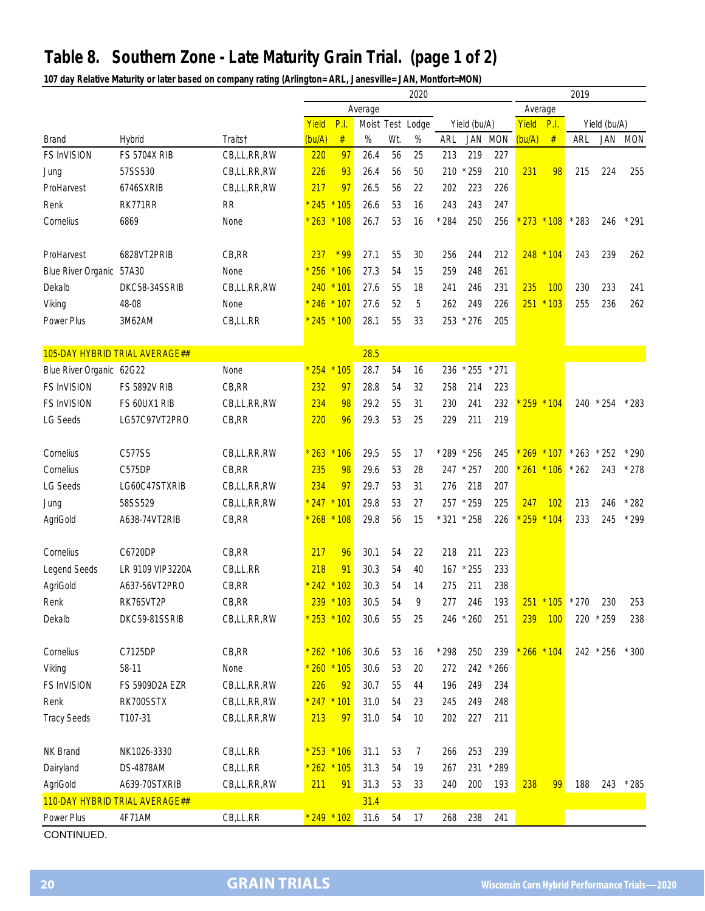## **Table 8. Southern Zone - Late Maturity Grain Trial. (page 1 of 2)**

**107 day Relative Maturity or later based on company rating (Arlington= ARL, Janesville= JAN, Montfort=MON)**

|                          |                                |             | 2020          |               |      |     |                  |             |                |            |        |             | 2019              |           |            |  |  |
|--------------------------|--------------------------------|-------------|---------------|---------------|------|-----|------------------|-------------|----------------|------------|--------|-------------|-------------------|-----------|------------|--|--|
|                          |                                |             |               | Average       |      |     |                  |             |                |            |        | Average     |                   |           |            |  |  |
|                          |                                |             | Yield         | P.I           |      |     | Moist Test Lodge |             | Yield (bu/A)   |            | Yield  | P.I.        | Yield (bu/A)      |           |            |  |  |
| <b>Brand</b>             | Hybrid                         | Traits†     | (bu/A)        | $\#$          | %    | Wt. | $\%$             | ARL         | JAN            | <b>MON</b> | (bu/A) | $\#$        | ARL               | JAN       | <b>MON</b> |  |  |
| FS InVISION              | <b>FS 5704X RIB</b>            | CB,LL,RR,RW | 220           | 97            | 26.4 | 56  | 25               | 213         | 219            | 227        |        |             |                   |           |            |  |  |
| Jung                     | 57SS530                        | CB,LL,RR,RW | 226           | 93            | 26.4 | 56  | 50               | 210         | $*259$         | 210        | 231    | 98          | 215               | 224       | 255        |  |  |
| ProHarvest               | 6746SXRIB                      | CB,LL,RR,RW | 217           | 97            | 26.5 | 56  | 22               | 202         | 223            | 226        |        |             |                   |           |            |  |  |
| Renk                     | RK771RR                        | <b>RR</b>   | $*245$        | $*105$        | 26.6 | 53  | 16               | 243         | 243            | 247        |        |             |                   |           |            |  |  |
| Cornelius                | 6869                           | None        | 263           | $*108$        | 26.7 | 53  | 16               | $*284$      | 250            | 256        | 273    | $*108$      | $*283$            | 246       | $*291$     |  |  |
|                          |                                |             |               |               |      |     |                  |             |                |            |        |             |                   |           |            |  |  |
| ProHarvest               | 6828VT2PRIB                    | CB,RR       | 237           | $*$ 99        | 27.1 | 55  | 30               | 256         | 244            | 212        |        | $248 * 104$ | 243               | 239       | 262        |  |  |
| Blue River Organic 57A30 |                                | None        | 256           | $*106$        | 27.3 | 54  | 15               | 259         | 248            | 261        |        |             |                   |           |            |  |  |
| Dekalb                   | DKC58-34SSRIB                  | CB,LL,RR,RW |               | $240 * 101$   | 27.6 | 55  | 18               | 241         | 246            | 231        | 235    | <b>100</b>  | 230               | 233       | 241        |  |  |
| Viking                   | 48-08                          | None        | * 246 * 107   |               | 27.6 | 52  | 5                | 262         | 249            | 226        | 251    | $*103$      | 255               | 236       | 262        |  |  |
| Power Plus               | 3M62AM                         | CB,LL,RR    | $* 245 * 100$ |               | 28.1 | 55  | 33               | 253         | $*276$         | 205        |        |             |                   |           |            |  |  |
|                          |                                |             |               |               |      |     |                  |             |                |            |        |             |                   |           |            |  |  |
|                          | 105-DAY HYBRID TRIAL AVERAGE## |             |               |               | 28.5 |     |                  |             |                |            |        |             |                   |           |            |  |  |
| Blue River Organic 62G22 |                                | None        |               | $254 * 105$   | 28.7 | 54  | 16               | 236         | $^{\star}$ 255 | $*271$     |        |             |                   |           |            |  |  |
| FS InVISION              | <b>FS 5892V RIB</b>            | CB, RR      | 232           | 97            | 28.8 | 54  | 32               | 258         | 214            | 223        |        |             |                   |           |            |  |  |
| <b>FS InVISION</b>       | FS 60UX1 RIB                   | CB,LL,RR,RW | 234           | 98            | 29.2 | 55  | 31               | 230         | 241            | 232        |        | $259 * 104$ |                   | 240 * 254 | $*283$     |  |  |
| <b>LG Seeds</b>          | LG57C97VT2PRO                  | CB, RR      | 220           | 96            | 29.3 | 53  | 25               | 229         | 211            | 219        |        |             |                   |           |            |  |  |
|                          |                                |             |               |               |      |     |                  |             |                |            |        |             |                   |           |            |  |  |
| Cornelius                | C577SS                         | CB,LL,RR,RW |               | $263 * 106$   | 29.5 | 55  | 17               | * 289 * 256 |                | 245        |        | $269 * 107$ | $*263$            | $*252$    | $*290$     |  |  |
| Cornelius                | C575DP                         | CB, RR      | 235           | 98            | 29.6 | 53  | 28               | 247         | $*257$         | 200        |        | $261 * 106$ | $*262$            | 243       | $*278$     |  |  |
| LG Seeds                 | LG60C47STXRIB                  | CB,LL,RR,RW | 234           | 97            | 29.7 | 53  | 31               | 276         | 218            | 207        |        |             |                   |           |            |  |  |
| Jung                     | 58SS529                        | CB,LL,RR,RW | $* 247 * 101$ |               | 29.8 | 53  | 27               | 257         | $*259$         | 225        | 247    | 102         | 213               | 246       | $*282$     |  |  |
| AgriGold                 | A638-74VT2RIB                  | CB, RR      | $*268 * 108$  |               | 29.8 | 56  | 15               | * 321 * 258 |                | 226        | 259    | $*104$      | 233               | 245       | $*299$     |  |  |
|                          |                                |             |               |               |      |     |                  |             |                |            |        |             |                   |           |            |  |  |
| Cornelius                | C6720DP                        | CB, RR      | 217           | 96            | 30.1 | 54  | 22               | 218         | 211            | 223        |        |             |                   |           |            |  |  |
| <b>Legend Seeds</b>      | LR 9109 VIP3220A               | CB,LL,RR    | 218           | 91            | 30.3 | 54  | 40               | 167         | $*255$         | 233        |        |             |                   |           |            |  |  |
| AgriGold                 | A637-56VT2PRO                  | CB, RR      | $*242$        | $*102$        | 30.3 | 54  | 14               | 275         | 211            | 238        |        |             |                   |           |            |  |  |
| Renk                     | RK765VT2P                      | CB,RR       |               | 239 * 103     | 30.5 | 54  | 9                | 277         | 246            | 193        |        |             | $251 * 105 * 270$ | 230       | 253        |  |  |
| Dekalb                   | DKC59-81SSRIB                  | CB,LL,RR,RW | * 253 * 102   |               | 30.6 | 55  | 25               |             | 246 * 260      | 251        | 239    | 100         |                   | 220 * 259 | 238        |  |  |
|                          |                                |             |               |               |      |     |                  |             |                |            |        |             |                   |           |            |  |  |
| Cornelius                | C7125DP                        | CB, RR      | $* 262 * 106$ |               | 30.6 | 53  | 16               | $*298$      | 250            | 239        |        | $266 * 104$ |                   | 242 * 256 | $*300$     |  |  |
| Viking                   | 58-11                          | None        | $* 260 * 105$ |               | 30.6 | 53  | 20               | 272         | 242            | $*266$     |        |             |                   |           |            |  |  |
| FS InVISION              | FS 5909D2A EZR                 | CB,LL,RR,RW | 226           | 92            | 30.7 | 55  | 44               | 196         | 249            | 234        |        |             |                   |           |            |  |  |
| Renk                     | RK700SSTX                      | CB,LL,RR,RW | $* 247 * 101$ |               | 31.0 | 54  | 23               | 245         | 249            | 248        |        |             |                   |           |            |  |  |
| <b>Tracy Seeds</b>       | T107-31                        | CB,LL,RR,RW | 213           | 97            | 31.0 | 54  | 10               | 202         | 227            | 211        |        |             |                   |           |            |  |  |
|                          |                                |             |               |               |      |     |                  |             |                |            |        |             |                   |           |            |  |  |
| NK Brand                 | NK1026-3330                    | CB,LL,RR    | $* 253 * 106$ |               | 31.1 | 53  | $\overline{7}$   | 266         | 253            | 239        |        |             |                   |           |            |  |  |
| Dairyland                | <b>DS-4878AM</b>               | CB,LL,RR    | $* 262 * 105$ |               | 31.3 | 54  | 19               | 267         |                | 231 * 289  |        |             |                   |           |            |  |  |
| AgriGold                 | A639-70STXRIB                  | CB,LL,RR,RW | 211           | 91            | 31.3 | 53  | 33               | 240         | 200            | 193        | 238    | 99          | 188               | 243       | $*285$     |  |  |
|                          | 110-DAY HYBRID TRIAL AVERAGE## |             |               |               | 31.4 |     |                  |             |                |            |        |             |                   |           |            |  |  |
| Power Plus               | 4F71AM                         | CB,LL,RR    |               | $* 249 * 102$ | 31.6 | 54  | 17               | 268         | 238            | 241        |        |             |                   |           |            |  |  |
| CONTINUED.               |                                |             |               |               |      |     |                  |             |                |            |        |             |                   |           |            |  |  |